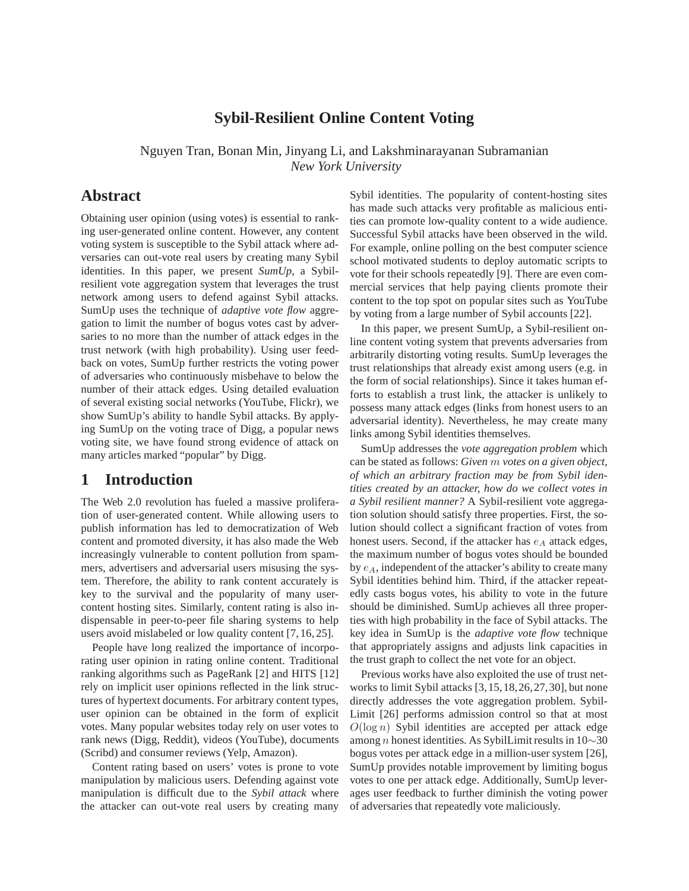### **Sybil-Resilient Online Content Voting**

Nguyen Tran, Bonan Min, Jinyang Li, and Lakshminarayanan Subramanian *New York University*

## **Abstract**

Obtaining user opinion (using votes) is essential to ranking user-generated online content. However, any content voting system is susceptible to the Sybil attack where adversaries can out-vote real users by creating many Sybil identities. In this paper, we present *SumUp*, a Sybilresilient vote aggregation system that leverages the trust network among users to defend against Sybil attacks. SumUp uses the technique of *adaptive vote flow* aggregation to limit the number of bogus votes cast by adversaries to no more than the number of attack edges in the trust network (with high probability). Using user feedback on votes, SumUp further restricts the voting power of adversaries who continuously misbehave to below the number of their attack edges. Using detailed evaluation of several existing social networks (YouTube, Flickr), we show SumUp's ability to handle Sybil attacks. By applying SumUp on the voting trace of Digg, a popular news voting site, we have found strong evidence of attack on many articles marked "popular" by Digg.

## **1 Introduction**

The Web 2.0 revolution has fueled a massive proliferation of user-generated content. While allowing users to publish information has led to democratization of Web content and promoted diversity, it has also made the Web increasingly vulnerable to content pollution from spammers, advertisers and adversarial users misusing the system. Therefore, the ability to rank content accurately is key to the survival and the popularity of many usercontent hosting sites. Similarly, content rating is also indispensable in peer-to-peer file sharing systems to help users avoid mislabeled or low quality content [7, 16, 25].

People have long realized the importance of incorporating user opinion in rating online content. Traditional ranking algorithms such as PageRank [2] and HITS [12] rely on implicit user opinions reflected in the link structures of hypertext documents. For arbitrary content types, user opinion can be obtained in the form of explicit votes. Many popular websites today rely on user votes to rank news (Digg, Reddit), videos (YouTube), documents (Scribd) and consumer reviews (Yelp, Amazon).

Content rating based on users' votes is prone to vote manipulation by malicious users. Defending against vote manipulation is difficult due to the *Sybil attack* where the attacker can out-vote real users by creating many

Sybil identities. The popularity of content-hosting sites has made such attacks very profitable as malicious entities can promote low-quality content to a wide audience. Successful Sybil attacks have been observed in the wild. For example, online polling on the best computer science school motivated students to deploy automatic scripts to vote for their schools repeatedly [9]. There are even commercial services that help paying clients promote their content to the top spot on popular sites such as YouTube by voting from a large number of Sybil accounts [22].

In this paper, we present SumUp, a Sybil-resilient online content voting system that prevents adversaries from arbitrarily distorting voting results. SumUp leverages the trust relationships that already exist among users (e.g. in the form of social relationships). Since it takes human efforts to establish a trust link, the attacker is unlikely to possess many attack edges (links from honest users to an adversarial identity). Nevertheless, he may create many links among Sybil identities themselves.

SumUp addresses the *vote aggregation problem* which can be stated as follows: *Given* m *votes on a given object, of which an arbitrary fraction may be from Sybil identities created by an attacker, how do we collect votes in a Sybil resilient manner?* A Sybil-resilient vote aggregation solution should satisfy three properties. First, the solution should collect a significant fraction of votes from honest users. Second, if the attacker has  $e_A$  attack edges, the maximum number of bogus votes should be bounded by  $e_A$ , independent of the attacker's ability to create many Sybil identities behind him. Third, if the attacker repeatedly casts bogus votes, his ability to vote in the future should be diminished. SumUp achieves all three properties with high probability in the face of Sybil attacks. The key idea in SumUp is the *adaptive vote flow* technique that appropriately assigns and adjusts link capacities in the trust graph to collect the net vote for an object.

Previous works have also exploited the use of trust networks to limit Sybil attacks [3,15,18,26,27,30], but none directly addresses the vote aggregation problem. Sybil-Limit [26] performs admission control so that at most  $O(\log n)$  Sybil identities are accepted per attack edge among n honest identities. As SybilLimit results in 10∼30 bogus votes per attack edge in a million-user system [26], SumUp provides notable improvement by limiting bogus votes to one per attack edge. Additionally, SumUp leverages user feedback to further diminish the voting power of adversaries that repeatedly vote maliciously.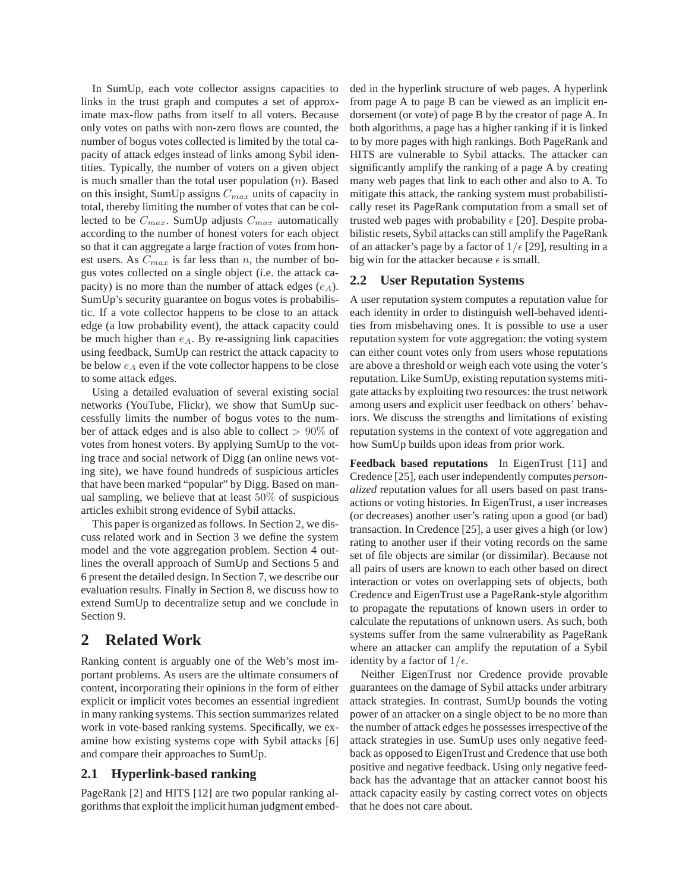In SumUp, each vote collector assigns capacities to links in the trust graph and computes a set of approximate max-flow paths from itself to all voters. Because only votes on paths with non-zero flows are counted, the number of bogus votes collected is limited by the total capacity of attack edges instead of links among Sybil identities. Typically, the number of voters on a given object is much smaller than the total user population  $(n)$ . Based on this insight, SumUp assigns  $C_{max}$  units of capacity in total, thereby limiting the number of votes that can be collected to be  $C_{max}$ . SumUp adjusts  $C_{max}$  automatically according to the number of honest voters for each object so that it can aggregate a large fraction of votes from honest users. As  $C_{max}$  is far less than n, the number of bogus votes collected on a single object (i.e. the attack capacity) is no more than the number of attack edges  $(e_A)$ . SumUp's security guarantee on bogus votes is probabilistic. If a vote collector happens to be close to an attack edge (a low probability event), the attack capacity could be much higher than  $e_A$ . By re-assigning link capacities using feedback, SumUp can restrict the attack capacity to be below  $e_A$  even if the vote collector happens to be close to some attack edges.

Using a detailed evaluation of several existing social networks (YouTube, Flickr), we show that SumUp successfully limits the number of bogus votes to the number of attack edges and is also able to collect > 90% of votes from honest voters. By applying SumUp to the voting trace and social network of Digg (an online news voting site), we have found hundreds of suspicious articles that have been marked "popular" by Digg. Based on manual sampling, we believe that at least 50% of suspicious articles exhibit strong evidence of Sybil attacks.

This paper is organized as follows. In Section 2, we discuss related work and in Section 3 we define the system model and the vote aggregation problem. Section 4 outlines the overall approach of SumUp and Sections 5 and 6 present the detailed design. In Section 7, we describe our evaluation results. Finally in Section 8, we discuss how to extend SumUp to decentralize setup and we conclude in Section 9.

# **2 Related Work**

Ranking content is arguably one of the Web's most important problems. As users are the ultimate consumers of content, incorporating their opinions in the form of either explicit or implicit votes becomes an essential ingredient in many ranking systems. This section summarizes related work in vote-based ranking systems. Specifically, we examine how existing systems cope with Sybil attacks [6] and compare their approaches to SumUp.

### **2.1 Hyperlink-based ranking**

PageRank [2] and HITS [12] are two popular ranking algorithms that exploit the implicit human judgment embed-

ded in the hyperlink structure of web pages. A hyperlink from page A to page B can be viewed as an implicit endorsement (or vote) of page B by the creator of page A. In both algorithms, a page has a higher ranking if it is linked to by more pages with high rankings. Both PageRank and HITS are vulnerable to Sybil attacks. The attacker can significantly amplify the ranking of a page A by creating many web pages that link to each other and also to A. To mitigate this attack, the ranking system must probabilistically reset its PageRank computation from a small set of trusted web pages with probability  $\epsilon$  [20]. Despite probabilistic resets, Sybil attacks can still amplify the PageRank of an attacker's page by a factor of  $1/\epsilon$  [29], resulting in a big win for the attacker because  $\epsilon$  is small.

### **2.2 User Reputation Systems**

A user reputation system computes a reputation value for each identity in order to distinguish well-behaved identities from misbehaving ones. It is possible to use a user reputation system for vote aggregation: the voting system can either count votes only from users whose reputations are above a threshold or weigh each vote using the voter's reputation. Like SumUp, existing reputation systems mitigate attacks by exploiting two resources: the trust network among users and explicit user feedback on others' behaviors. We discuss the strengths and limitations of existing reputation systems in the context of vote aggregation and how SumUp builds upon ideas from prior work.

**Feedback based reputations** In EigenTrust [11] and Credence [25], each user independently computes *personalized* reputation values for all users based on past transactions or voting histories. In EigenTrust, a user increases (or decreases) another user's rating upon a good (or bad) transaction. In Credence [25], a user gives a high (or low) rating to another user if their voting records on the same set of file objects are similar (or dissimilar). Because not all pairs of users are known to each other based on direct interaction or votes on overlapping sets of objects, both Credence and EigenTrust use a PageRank-style algorithm to propagate the reputations of known users in order to calculate the reputations of unknown users. As such, both systems suffer from the same vulnerability as PageRank where an attacker can amplify the reputation of a Sybil identity by a factor of  $1/\epsilon$ .

Neither EigenTrust nor Credence provide provable guarantees on the damage of Sybil attacks under arbitrary attack strategies. In contrast, SumUp bounds the voting power of an attacker on a single object to be no more than the number of attack edges he possesses irrespective of the attack strategies in use. SumUp uses only negative feedback as opposed to EigenTrust and Credence that use both positive and negative feedback. Using only negative feedback has the advantage that an attacker cannot boost his attack capacity easily by casting correct votes on objects that he does not care about.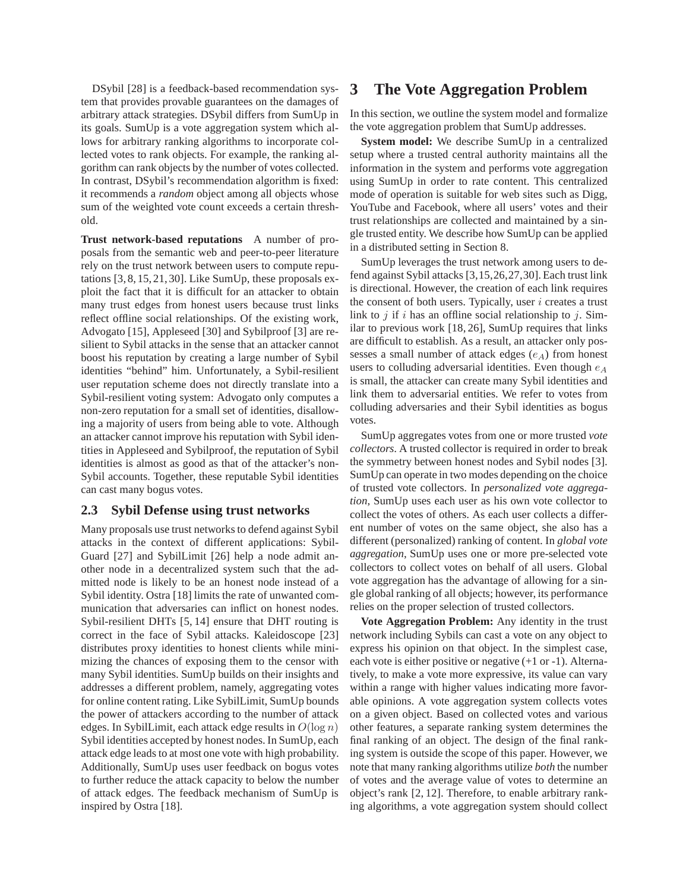DSybil [28] is a feedback-based recommendation system that provides provable guarantees on the damages of arbitrary attack strategies. DSybil differs from SumUp in its goals. SumUp is a vote aggregation system which allows for arbitrary ranking algorithms to incorporate collected votes to rank objects. For example, the ranking algorithm can rank objects by the number of votes collected. In contrast, DSybil's recommendation algorithm is fixed: it recommends a *random* object among all objects whose sum of the weighted vote count exceeds a certain threshold.

**Trust network-based reputations** A number of proposals from the semantic web and peer-to-peer literature rely on the trust network between users to compute reputations [3, 8, 15, 21, 30]. Like SumUp, these proposals exploit the fact that it is difficult for an attacker to obtain many trust edges from honest users because trust links reflect offline social relationships. Of the existing work, Advogato [15], Appleseed [30] and Sybilproof [3] are resilient to Sybil attacks in the sense that an attacker cannot boost his reputation by creating a large number of Sybil identities "behind" him. Unfortunately, a Sybil-resilient user reputation scheme does not directly translate into a Sybil-resilient voting system: Advogato only computes a non-zero reputation for a small set of identities, disallowing a majority of users from being able to vote. Although an attacker cannot improve his reputation with Sybil identities in Appleseed and Sybilproof, the reputation of Sybil identities is almost as good as that of the attacker's non-Sybil accounts. Together, these reputable Sybil identities can cast many bogus votes.

#### **2.3 Sybil Defense using trust networks**

Many proposals use trust networks to defend against Sybil attacks in the context of different applications: Sybil-Guard [27] and SybilLimit [26] help a node admit another node in a decentralized system such that the admitted node is likely to be an honest node instead of a Sybil identity. Ostra [18] limits the rate of unwanted communication that adversaries can inflict on honest nodes. Sybil-resilient DHTs [5, 14] ensure that DHT routing is correct in the face of Sybil attacks. Kaleidoscope [23] distributes proxy identities to honest clients while minimizing the chances of exposing them to the censor with many Sybil identities. SumUp builds on their insights and addresses a different problem, namely, aggregating votes for online content rating. Like SybilLimit, SumUp bounds the power of attackers according to the number of attack edges. In SybilLimit, each attack edge results in  $O(\log n)$ Sybil identities accepted by honest nodes. In SumUp, each attack edge leads to at most one vote with high probability. Additionally, SumUp uses user feedback on bogus votes to further reduce the attack capacity to below the number of attack edges. The feedback mechanism of SumUp is inspired by Ostra [18].

## **3 The Vote Aggregation Problem**

In this section, we outline the system model and formalize the vote aggregation problem that SumUp addresses.

**System model:** We describe SumUp in a centralized setup where a trusted central authority maintains all the information in the system and performs vote aggregation using SumUp in order to rate content. This centralized mode of operation is suitable for web sites such as Digg, YouTube and Facebook, where all users' votes and their trust relationships are collected and maintained by a single trusted entity. We describe how SumUp can be applied in a distributed setting in Section 8.

SumUp leverages the trust network among users to defend against Sybil attacks [3,15,26,27,30]. Each trust link is directional. However, the creation of each link requires the consent of both users. Typically, user  $i$  creates a trust link to j if i has an offline social relationship to j. Similar to previous work [18, 26], SumUp requires that links are difficult to establish. As a result, an attacker only possesses a small number of attack edges  $(e_A)$  from honest users to colluding adversarial identities. Even though  $e_A$ is small, the attacker can create many Sybil identities and link them to adversarial entities. We refer to votes from colluding adversaries and their Sybil identities as bogus votes.

SumUp aggregates votes from one or more trusted *vote collectors*. A trusted collector is required in order to break the symmetry between honest nodes and Sybil nodes [3]. SumUp can operate in two modes depending on the choice of trusted vote collectors. In *personalized vote aggregation*, SumUp uses each user as his own vote collector to collect the votes of others. As each user collects a different number of votes on the same object, she also has a different (personalized) ranking of content. In *global vote aggregation*, SumUp uses one or more pre-selected vote collectors to collect votes on behalf of all users. Global vote aggregation has the advantage of allowing for a single global ranking of all objects; however, its performance relies on the proper selection of trusted collectors.

**Vote Aggregation Problem:** Any identity in the trust network including Sybils can cast a vote on any object to express his opinion on that object. In the simplest case, each vote is either positive or negative (+1 or -1). Alternatively, to make a vote more expressive, its value can vary within a range with higher values indicating more favorable opinions. A vote aggregation system collects votes on a given object. Based on collected votes and various other features, a separate ranking system determines the final ranking of an object. The design of the final ranking system is outside the scope of this paper. However, we note that many ranking algorithms utilize *both* the number of votes and the average value of votes to determine an object's rank [2, 12]. Therefore, to enable arbitrary ranking algorithms, a vote aggregation system should collect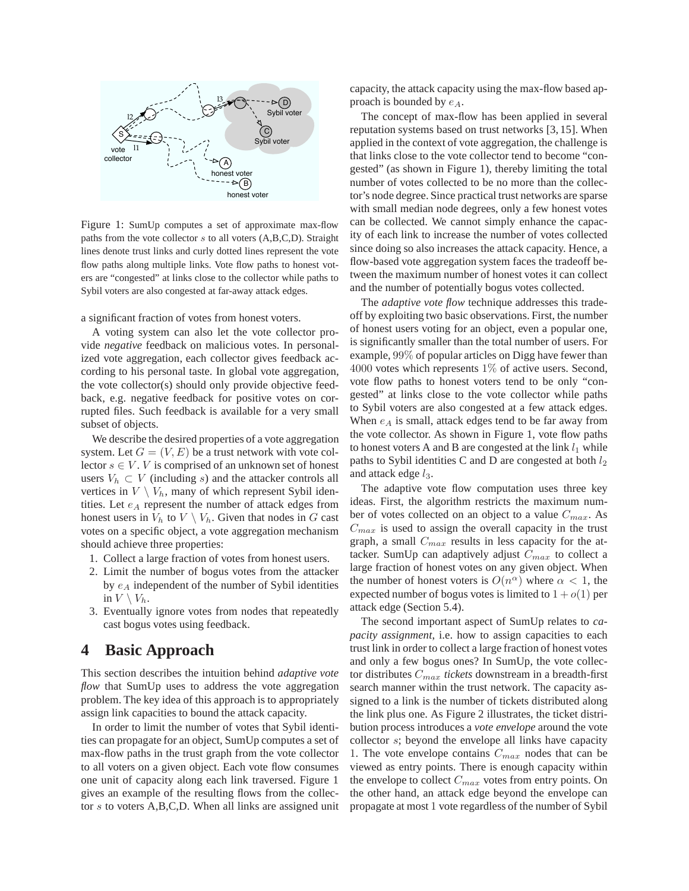

Figure 1: SumUp computes a set of approximate max-flow paths from the vote collector  $s$  to all voters  $(A, B, C, D)$ . Straight lines denote trust links and curly dotted lines represent the vote flow paths along multiple links. Vote flow paths to honest voters are "congested" at links close to the collector while paths to Sybil voters are also congested at far-away attack edges.

a significant fraction of votes from honest voters.

A voting system can also let the vote collector provide *negative* feedback on malicious votes. In personalized vote aggregation, each collector gives feedback according to his personal taste. In global vote aggregation, the vote collector(s) should only provide objective feedback, e.g. negative feedback for positive votes on corrupted files. Such feedback is available for a very small subset of objects.

We describe the desired properties of a vote aggregation system. Let  $G = (V, E)$  be a trust network with vote collector  $s \in V$ . V is comprised of an unknown set of honest users  $V_h \subset V$  (including s) and the attacker controls all vertices in  $V \setminus V_h$ , many of which represent Sybil identities. Let  $e_A$  represent the number of attack edges from honest users in  $V_h$  to  $V \setminus V_h$ . Given that nodes in G cast votes on a specific object, a vote aggregation mechanism should achieve three properties:

- 1. Collect a large fraction of votes from honest users.
- 2. Limit the number of bogus votes from the attacker by  $e_A$  independent of the number of Sybil identities in  $V \setminus V_h$ .
- 3. Eventually ignore votes from nodes that repeatedly cast bogus votes using feedback.

# **4 Basic Approach**

This section describes the intuition behind *adaptive vote flow* that SumUp uses to address the vote aggregation problem. The key idea of this approach is to appropriately assign link capacities to bound the attack capacity.

In order to limit the number of votes that Sybil identities can propagate for an object, SumUp computes a set of max-flow paths in the trust graph from the vote collector to all voters on a given object. Each vote flow consumes one unit of capacity along each link traversed. Figure 1 gives an example of the resulting flows from the collector s to voters A,B,C,D. When all links are assigned unit capacity, the attack capacity using the max-flow based approach is bounded by  $e_A$ .

The concept of max-flow has been applied in several reputation systems based on trust networks [3, 15]. When applied in the context of vote aggregation, the challenge is that links close to the vote collector tend to become "congested" (as shown in Figure 1), thereby limiting the total number of votes collected to be no more than the collector's node degree. Since practical trust networks are sparse with small median node degrees, only a few honest votes can be collected. We cannot simply enhance the capacity of each link to increase the number of votes collected since doing so also increases the attack capacity. Hence, a flow-based vote aggregation system faces the tradeoff between the maximum number of honest votes it can collect and the number of potentially bogus votes collected.

The *adaptive vote flow* technique addresses this tradeoff by exploiting two basic observations. First, the number of honest users voting for an object, even a popular one, is significantly smaller than the total number of users. For example, 99% of popular articles on Digg have fewer than  $4000$  votes which represents  $1\%$  of active users. Second, vote flow paths to honest voters tend to be only "congested" at links close to the vote collector while paths to Sybil voters are also congested at a few attack edges. When  $e_A$  is small, attack edges tend to be far away from the vote collector. As shown in Figure 1, vote flow paths to honest voters A and B are congested at the link  $l_1$  while paths to Sybil identities C and D are congested at both  $l_2$ and attack edge  $l_3$ .

The adaptive vote flow computation uses three key ideas. First, the algorithm restricts the maximum number of votes collected on an object to a value  $C_{max}$ . As  $C_{max}$  is used to assign the overall capacity in the trust graph, a small  $C_{max}$  results in less capacity for the attacker. SumUp can adaptively adjust  $C_{max}$  to collect a large fraction of honest votes on any given object. When the number of honest voters is  $O(n^{\alpha})$  where  $\alpha < 1$ , the expected number of bogus votes is limited to  $1 + o(1)$  per attack edge (Section 5.4).

The second important aspect of SumUp relates to *capacity assignment*, i.e. how to assign capacities to each trust link in order to collect a large fraction of honest votes and only a few bogus ones? In SumUp, the vote collector distributes Cmax *tickets* downstream in a breadth-first search manner within the trust network. The capacity assigned to a link is the number of tickets distributed along the link plus one. As Figure 2 illustrates, the ticket distribution process introduces a *vote envelope* around the vote collector s; beyond the envelope all links have capacity 1. The vote envelope contains  $C_{max}$  nodes that can be viewed as entry points. There is enough capacity within the envelope to collect  $C_{max}$  votes from entry points. On the other hand, an attack edge beyond the envelope can propagate at most 1 vote regardless of the number of Sybil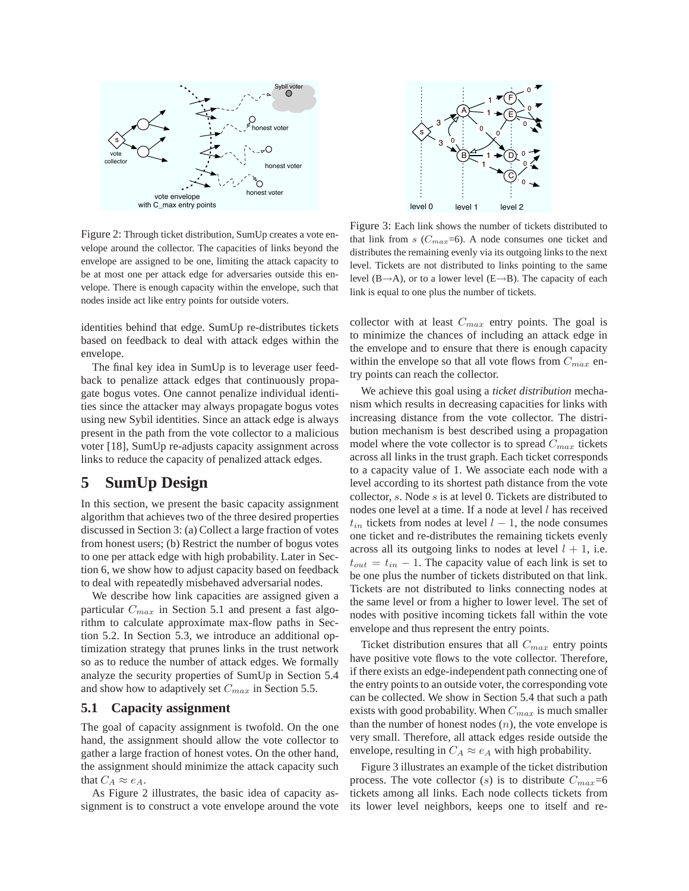

Figure 2: Through ticket distribution, SumUp creates a vote envelope around the collector. The capacities of links beyond the envelope are assigned to be one, limiting the attack capacity to be at most one per attack edge for adversaries outside this envelope. There is enough capacity within the envelope, such that nodes inside act like entry points for outside voters.

identities behind that edge. SumUp re-distributes tickets based on feedback to deal with attack edges within the envelope.

The final key idea in SumUp is to leverage user feedback to penalize attack edges that continuously propagate bogus votes. One cannot penalize individual identities since the attacker may always propagate bogus votes using new Sybil identities. Since an attack edge is always present in the path from the vote collector to a malicious voter [18], SumUp re-adjusts capacity assignment across links to reduce the capacity of penalized attack edges.

# **5 SumUp Design**

In this section, we present the basic capacity assignment algorithm that achieves two of the three desired properties discussed in Section 3: (a) Collect a large fraction of votes from honest users; (b) Restrict the number of bogus votes to one per attack edge with high probability. Later in Section 6, we show how to adjust capacity based on feedback to deal with repeatedly misbehaved adversarial nodes.

We describe how link capacities are assigned given a particular  $C_{max}$  in Section 5.1 and present a fast algorithm to calculate approximate max-flow paths in Section 5.2. In Section 5.3, we introduce an additional optimization strategy that prunes links in the trust network so as to reduce the number of attack edges. We formally analyze the security properties of SumUp in Section 5.4 and show how to adaptively set  $C_{max}$  in Section 5.5.

#### **5.1 Capacity assignment**

The goal of capacity assignment is twofold. On the one hand, the assignment should allow the vote collector to gather a large fraction of honest votes. On the other hand, the assignment should minimize the attack capacity such that  $C_A \approx e_A$ .

As Figure 2 illustrates, the basic idea of capacity assignment is to construct a vote envelope around the vote



Figure 3: Each link shows the number of tickets distributed to that link from  $s$  ( $C_{max}$ =6). A node consumes one ticket and distributes the remaining evenly via its outgoing links to the next level. Tickets are not distributed to links pointing to the same level  $(B\rightarrow A)$ , or to a lower level  $(E\rightarrow B)$ . The capacity of each link is equal to one plus the number of tickets.

collector with at least  $C_{max}$  entry points. The goal is to minimize the chances of including an attack edge in the envelope and to ensure that there is enough capacity within the envelope so that all vote flows from  $C_{max}$  entry points can reach the collector.

We achieve this goal using a *ticket distribution* mechanism which results in decreasing capacities for links with increasing distance from the vote collector. The distribution mechanism is best described using a propagation model where the vote collector is to spread  $C_{max}$  tickets across all links in the trust graph. Each ticket corresponds to a capacity value of 1. We associate each node with a level according to its shortest path distance from the vote collector, s. Node s is at level 0. Tickets are distributed to nodes one level at a time. If a node at level l has received  $t_{in}$  tickets from nodes at level  $l - 1$ , the node consumes one ticket and re-distributes the remaining tickets evenly across all its outgoing links to nodes at level  $l + 1$ , i.e.  $t_{out} = t_{in} - 1$ . The capacity value of each link is set to be one plus the number of tickets distributed on that link. Tickets are not distributed to links connecting nodes at the same level or from a higher to lower level. The set of nodes with positive incoming tickets fall within the vote envelope and thus represent the entry points.

Ticket distribution ensures that all  $C_{max}$  entry points have positive vote flows to the vote collector. Therefore, if there exists an edge-independent path connecting one of the entry points to an outside voter, the corresponding vote can be collected. We show in Section 5.4 that such a path exists with good probability. When  $C_{max}$  is much smaller than the number of honest nodes  $(n)$ , the vote envelope is very small. Therefore, all attack edges reside outside the envelope, resulting in  $C_A \approx e_A$  with high probability.

Figure 3 illustrates an example of the ticket distribution process. The vote collector (s) is to distribute  $C_{max}=6$ tickets among all links. Each node collects tickets from its lower level neighbors, keeps one to itself and re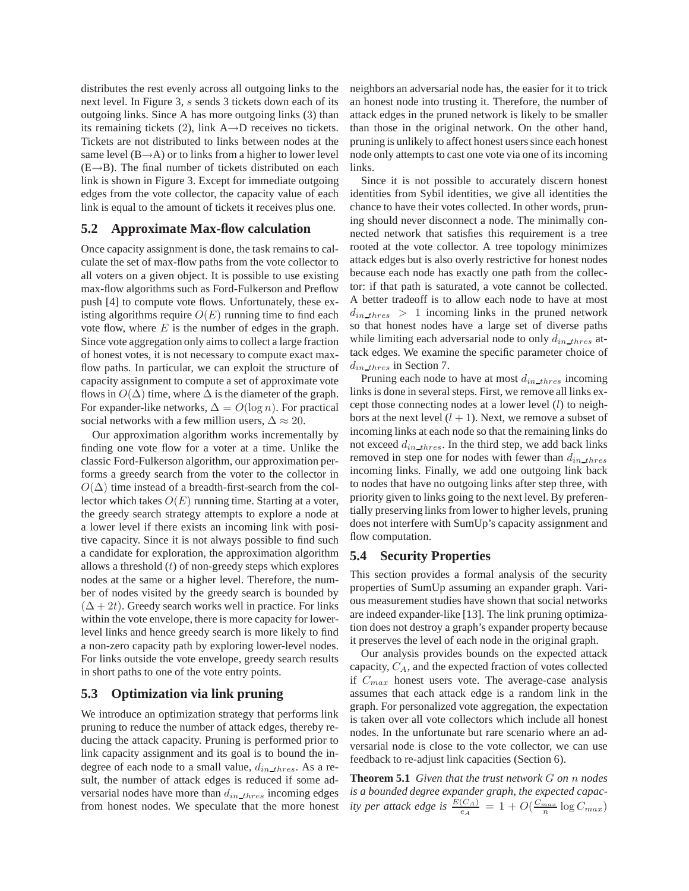distributes the rest evenly across all outgoing links to the next level. In Figure 3, s sends 3 tickets down each of its outgoing links. Since A has more outgoing links (3) than its remaining tickets (2), link A→D receives no tickets. Tickets are not distributed to links between nodes at the same level  $(B\rightarrow A)$  or to links from a higher to lower level  $(E \rightarrow B)$ . The final number of tickets distributed on each link is shown in Figure 3. Except for immediate outgoing edges from the vote collector, the capacity value of each link is equal to the amount of tickets it receives plus one.

#### **5.2 Approximate Max-flow calculation**

Once capacity assignment is done, the task remains to calculate the set of max-flow paths from the vote collector to all voters on a given object. It is possible to use existing max-flow algorithms such as Ford-Fulkerson and Preflow push [4] to compute vote flows. Unfortunately, these existing algorithms require  $O(E)$  running time to find each vote flow, where  $E$  is the number of edges in the graph. Since vote aggregation only aims to collect a large fraction of honest votes, it is not necessary to compute exact maxflow paths. In particular, we can exploit the structure of capacity assignment to compute a set of approximate vote flows in  $O(\Delta)$  time, where  $\Delta$  is the diameter of the graph. For expander-like networks,  $\Delta = O(\log n)$ . For practical social networks with a few million users,  $\Delta \approx 20$ .

Our approximation algorithm works incrementally by finding one vote flow for a voter at a time. Unlike the classic Ford-Fulkerson algorithm, our approximation performs a greedy search from the voter to the collector in  $O(\Delta)$  time instead of a breadth-first-search from the collector which takes  $O(E)$  running time. Starting at a voter, the greedy search strategy attempts to explore a node at a lower level if there exists an incoming link with positive capacity. Since it is not always possible to find such a candidate for exploration, the approximation algorithm allows a threshold  $(t)$  of non-greedy steps which explores nodes at the same or a higher level. Therefore, the number of nodes visited by the greedy search is bounded by  $(\Delta + 2t)$ . Greedy search works well in practice. For links within the vote envelope, there is more capacity for lowerlevel links and hence greedy search is more likely to find a non-zero capacity path by exploring lower-level nodes. For links outside the vote envelope, greedy search results in short paths to one of the vote entry points.

#### **5.3 Optimization via link pruning**

We introduce an optimization strategy that performs link pruning to reduce the number of attack edges, thereby reducing the attack capacity. Pruning is performed prior to link capacity assignment and its goal is to bound the indegree of each node to a small value,  $d_{in\_thres}$ . As a result, the number of attack edges is reduced if some adversarial nodes have more than  $d_{in\_thres}$  incoming edges from honest nodes. We speculate that the more honest

neighbors an adversarial node has, the easier for it to trick an honest node into trusting it. Therefore, the number of attack edges in the pruned network is likely to be smaller than those in the original network. On the other hand, pruning is unlikely to affect honest users since each honest node only attempts to cast one vote via one of its incoming links.

Since it is not possible to accurately discern honest identities from Sybil identities, we give all identities the chance to have their votes collected. In other words, pruning should never disconnect a node. The minimally connected network that satisfies this requirement is a tree rooted at the vote collector. A tree topology minimizes attack edges but is also overly restrictive for honest nodes because each node has exactly one path from the collector: if that path is saturated, a vote cannot be collected. A better tradeoff is to allow each node to have at most  $d_{in\_thres} > 1$  incoming links in the pruned network so that honest nodes have a large set of diverse paths while limiting each adversarial node to only  $d_{in\_thres}$  attack edges. We examine the specific parameter choice of  $d_{in\_thres}$  in Section 7.

Pruning each node to have at most  $d_{in\_thres}$  incoming links is done in several steps. First, we remove all links except those connecting nodes at a lower level  $(l)$  to neighbors at the next level  $(l + 1)$ . Next, we remove a subset of incoming links at each node so that the remaining links do not exceed  $d_{in\_thres}$ . In the third step, we add back links removed in step one for nodes with fewer than  $d_{in\_thres}$ incoming links. Finally, we add one outgoing link back to nodes that have no outgoing links after step three, with priority given to links going to the next level. By preferentially preserving links from lower to higher levels, pruning does not interfere with SumUp's capacity assignment and flow computation.

#### **5.4 Security Properties**

This section provides a formal analysis of the security properties of SumUp assuming an expander graph. Various measurement studies have shown that social networks are indeed expander-like [13]. The link pruning optimization does not destroy a graph's expander property because it preserves the level of each node in the original graph.

Our analysis provides bounds on the expected attack capacity,  $C_A$ , and the expected fraction of votes collected if  $C_{max}$  honest users vote. The average-case analysis assumes that each attack edge is a random link in the graph. For personalized vote aggregation, the expectation is taken over all vote collectors which include all honest nodes. In the unfortunate but rare scenario where an adversarial node is close to the vote collector, we can use feedback to re-adjust link capacities (Section 6).

**Theorem 5.1** *Given that the trust network* G *on* n *nodes is a bounded degree expander graph, the expected capacity per attack edge is*  $\frac{E(C_A)}{e_A} = 1 + O(\frac{C_{max}}{n} \log C_{max})$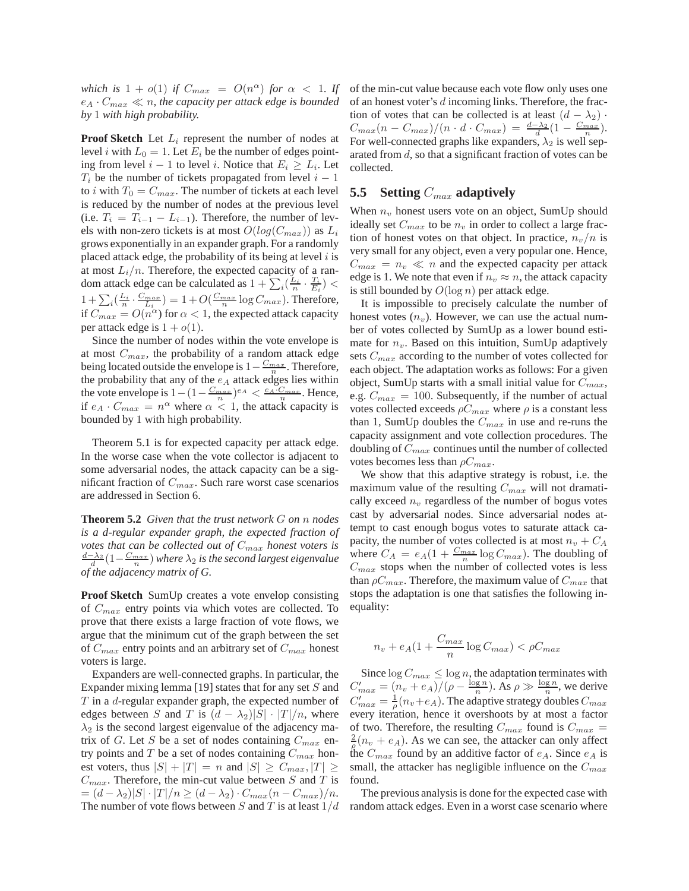*which is*  $1 + o(1)$  *if*  $C_{max} = O(n^{\alpha})$  *for*  $\alpha < 1$ *. If*  $e_A \cdot C_{max} \ll n$ , the capacity per attack edge is bounded *by* 1 *with high probability.*

**Proof Sketch** Let  $L_i$  represent the number of nodes at level *i* with  $L_0 = 1$ . Let  $E_i$  be the number of edges pointing from level  $i - 1$  to level i. Notice that  $E_i \ge L_i$ . Let  $T_i$  be the number of tickets propagated from level  $i - 1$ to *i* with  $T_0 = C_{max}$ . The number of tickets at each level is reduced by the number of nodes at the previous level (i.e.  $T_i = T_{i-1} - L_{i-1}$ ). Therefore, the number of levels with non-zero tickets is at most  $O(log(C_{max}))$  as  $L_i$ grows exponentially in an expander graph. For a randomly placed attack edge, the probability of its being at level  $i$  is at most  $L_i/n$ . Therefore, the expected capacity of a random attack edge can be calculated as  $1 + \sum_i (\frac{L_i}{n} \cdot \frac{T_i}{E_i})$  <  $1 + \sum_i \left(\frac{L_i}{n} \cdot \frac{C_{max}}{L_i}\right) = 1 + O(\frac{C_{max}}{n} \log C_{max})$ . Therefore, if  $C_{max} = O(n^{\alpha})$  for  $\alpha < 1$ , the expected attack capacity per attack edge is  $1 + o(1)$ .

Since the number of nodes within the vote envelope is at most  $C_{max}$ , the probability of a random attack edge being located outside the envelope is  $1 - \frac{C_{max}}{n}$ . Therefore, the probability that any of the  $e_A$  attack edges lies within the vote envelope is  $1 - (1 - \frac{C_{max}}{n})^{e_A} < \frac{e_A \cdot C_{max}}{n}$ . Hence, if  $e_A \cdot C_{max} = n^{\alpha}$  where  $\alpha < 1$ , the attack capacity is bounded by 1 with high probability.

Theorem 5.1 is for expected capacity per attack edge. In the worse case when the vote collector is adjacent to some adversarial nodes, the attack capacity can be a significant fraction of  $C_{max}$ . Such rare worst case scenarios are addressed in Section 6.

**Theorem 5.2** *Given that the trust network* G *on* n *nodes is a d-regular expander graph, the expected fraction of votes that can be collected out of*  $C_{max}$  *honest voters is* d−λ<sup>2</sup> d (1− Cmax n ) *where* λ<sup>2</sup> *is the second largest eigenvalue of the adjacency matrix of G.*

**Proof Sketch** SumUp creates a vote envelop consisting of  $C_{max}$  entry points via which votes are collected. To prove that there exists a large fraction of vote flows, we argue that the minimum cut of the graph between the set of  $C_{max}$  entry points and an arbitrary set of  $C_{max}$  honest voters is large.

Expanders are well-connected graphs. In particular, the Expander mixing lemma [19] states that for any set  $S$  and  $T$  in a *d*-regular expander graph, the expected number of edges between S and T is  $(d - \lambda_2)|S| \cdot |T|/n$ , where  $\lambda_2$  is the second largest eigenvalue of the adjacency matrix of G. Let S be a set of nodes containing  $C_{max}$  entry points and T be a set of nodes containing  $C_{max}$  honest voters, thus  $|S| + |T| = n$  and  $|S| \geq C_{max}, |T| \geq$  $C_{max}$ . Therefore, the min-cut value between S and T is  $=(d - \lambda_2)|S| \cdot |T|/n \ge (d - \lambda_2) \cdot C_{max}(n - C_{max})/n.$ The number of vote flows between S and T is at least  $1/d$  of the min-cut value because each vote flow only uses one of an honest voter's d incoming links. Therefore, the fraction of votes that can be collected is at least  $(d - \lambda_2)$ .  $C_{max}(n - C_{max})/(n \cdot d \cdot C_{max}) = \frac{d - \lambda_2}{d}(1 - \frac{C_{max}}{n}).$ For well-connected graphs like expanders,  $\lambda_2$  is well separated from d, so that a significant fraction of votes can be collected.

### **5.5** Setting  $C_{max}$  adaptively

When  $n_v$  honest users vote on an object, SumUp should ideally set  $C_{max}$  to be  $n_v$  in order to collect a large fraction of honest votes on that object. In practice,  $n_v/n$  is very small for any object, even a very popular one. Hence,  $C_{max} = n_v \ll n$  and the expected capacity per attack edge is 1. We note that even if  $n_v \approx n$ , the attack capacity is still bounded by  $O(\log n)$  per attack edge.

It is impossible to precisely calculate the number of honest votes  $(n_v)$ . However, we can use the actual number of votes collected by SumUp as a lower bound estimate for  $n_v$ . Based on this intuition, SumUp adaptively sets  $C_{max}$  according to the number of votes collected for each object. The adaptation works as follows: For a given object, SumUp starts with a small initial value for  $C_{max}$ , e.g.  $C_{max} = 100$ . Subsequently, if the number of actual votes collected exceeds  $\rho C_{max}$  where  $\rho$  is a constant less than 1, SumUp doubles the  $C_{max}$  in use and re-runs the capacity assignment and vote collection procedures. The doubling of  $C_{max}$  continues until the number of collected votes becomes less than  $\rho C_{max}$ .

We show that this adaptive strategy is robust, i.e. the maximum value of the resulting  $C_{max}$  will not dramatically exceed  $n_v$  regardless of the number of bogus votes cast by adversarial nodes. Since adversarial nodes attempt to cast enough bogus votes to saturate attack capacity, the number of votes collected is at most  $n_v + C_A$ where  $C_A = e_A(1 + \frac{C_{max}}{n} \log C_{max})$ . The doubling of  $C_{max}$  stops when the number of collected votes is less than  $\rho C_{max}$ . Therefore, the maximum value of  $C_{max}$  that stops the adaptation is one that satisfies the following inequality:

$$
n_v + e_A(1 + \frac{C_{max}}{n} \log C_{max}) < \rho C_{max}
$$

Since  $\log C_{max} \leq \log n$ , the adaptation terminates with  $C'_{max} = (n_v + e_A)/(\rho - \frac{\log n}{n})$ . As  $\rho \gg \frac{\log n}{n}$ , we derive  $C'_{max} = \frac{1}{\rho}(n_v + e_A)$ . The adaptive strategy doubles  $C_{max}$ every iteration, hence it overshoots by at most a factor of two. Therefore, the resulting  $C_{max}$  found is  $C_{max}$  =  $\frac{2}{\rho}(n_v + e_A)$ . As we can see, the attacker can only affect the  $C_{max}$  found by an additive factor of  $e_A$ . Since  $e_A$  is small, the attacker has negligible influence on the  $C_{max}$ found.

The previous analysis is done for the expected case with random attack edges. Even in a worst case scenario where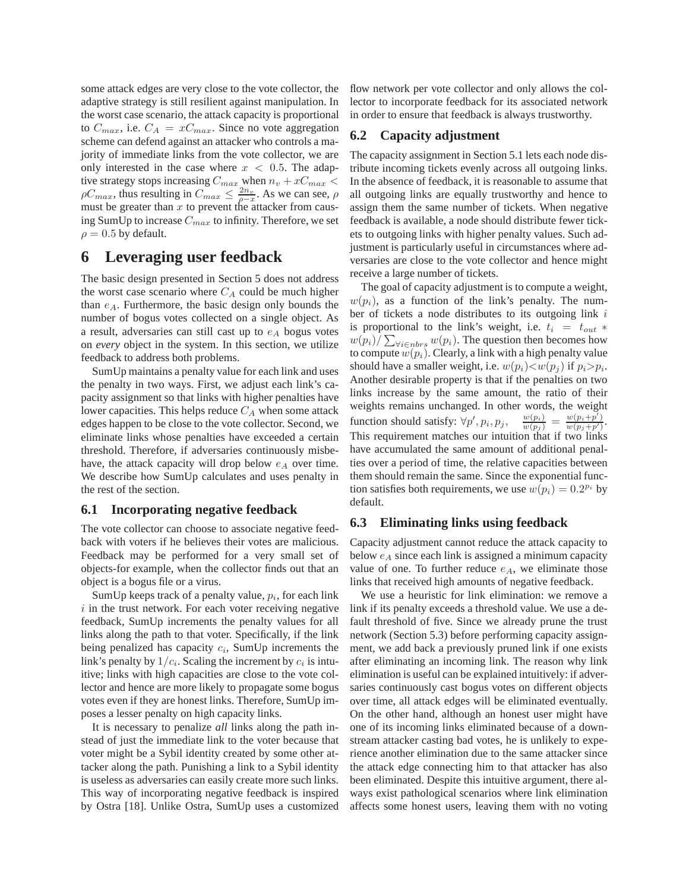some attack edges are very close to the vote collector, the adaptive strategy is still resilient against manipulation. In the worst case scenario, the attack capacity is proportional to  $C_{max}$ , i.e.  $C_A = xC_{max}$ . Since no vote aggregation scheme can defend against an attacker who controls a majority of immediate links from the vote collector, we are only interested in the case where  $x < 0.5$ . The adaptive strategy stops increasing  $C_{max}$  when  $n_v + xC_{max}$  <  $\rho C_{max}$ , thus resulting in  $C_{max} \leq \frac{2n_v}{\rho - x}$ . As we can see,  $\rho$ must be greater than  $x$  to prevent the attacker from causing SumUp to increase  $C_{max}$  to infinity. Therefore, we set  $\rho = 0.5$  by default.

## **6 Leveraging user feedback**

The basic design presented in Section 5 does not address the worst case scenario where  $C_A$  could be much higher than  $e_A$ . Furthermore, the basic design only bounds the number of bogus votes collected on a single object. As a result, adversaries can still cast up to  $e_A$  bogus votes on *every* object in the system. In this section, we utilize feedback to address both problems.

SumUp maintains a penalty value for each link and uses the penalty in two ways. First, we adjust each link's capacity assignment so that links with higher penalties have lower capacities. This helps reduce  $C_A$  when some attack edges happen to be close to the vote collector. Second, we eliminate links whose penalties have exceeded a certain threshold. Therefore, if adversaries continuously misbehave, the attack capacity will drop below  $e_A$  over time. We describe how SumUp calculates and uses penalty in the rest of the section.

#### **6.1 Incorporating negative feedback**

The vote collector can choose to associate negative feedback with voters if he believes their votes are malicious. Feedback may be performed for a very small set of objects-for example, when the collector finds out that an object is a bogus file or a virus.

SumUp keeps track of a penalty value,  $p_i$ , for each link  $i$  in the trust network. For each voter receiving negative feedback, SumUp increments the penalty values for all links along the path to that voter. Specifically, if the link being penalized has capacity  $c_i$ , SumUp increments the link's penalty by  $1/c_i$ . Scaling the increment by  $c_i$  is intuitive; links with high capacities are close to the vote collector and hence are more likely to propagate some bogus votes even if they are honest links. Therefore, SumUp imposes a lesser penalty on high capacity links.

It is necessary to penalize *all* links along the path instead of just the immediate link to the voter because that voter might be a Sybil identity created by some other attacker along the path. Punishing a link to a Sybil identity is useless as adversaries can easily create more such links. This way of incorporating negative feedback is inspired by Ostra [18]. Unlike Ostra, SumUp uses a customized

flow network per vote collector and only allows the collector to incorporate feedback for its associated network in order to ensure that feedback is always trustworthy.

### **6.2 Capacity adjustment**

The capacity assignment in Section 5.1 lets each node distribute incoming tickets evenly across all outgoing links. In the absence of feedback, it is reasonable to assume that all outgoing links are equally trustworthy and hence to assign them the same number of tickets. When negative feedback is available, a node should distribute fewer tickets to outgoing links with higher penalty values. Such adjustment is particularly useful in circumstances where adversaries are close to the vote collector and hence might receive a large number of tickets.

The goal of capacity adjustment is to compute a weight,  $w(p_i)$ , as a function of the link's penalty. The number of tickets a node distributes to its outgoing link  $i$ is proportional to the link's weight, i.e.  $t_i = t_{out} *$  $w(p_i)/\sum_{\forall i \in nbrs} w(p_i)$ . The question then becomes how to compute  $w(p_i)$ . Clearly, a link with a high penalty value should have a smaller weight, i.e.  $w(p_i) < w(p_j)$  if  $p_i > p_i$ . Another desirable property is that if the penalties on two links increase by the same amount, the ratio of their weights remains unchanged. In other words, the weight function should satisfy:  $\forall p', p_i, p_j, \quad \frac{w(p_i)}{w(p_j)} = \frac{w(p_i+p')}{w(p_j+p')}$ . This requirement matches our intuition that if two links have accumulated the same amount of additional penalties over a period of time, the relative capacities between them should remain the same. Since the exponential function satisfies both requirements, we use  $w(p_i) = 0.2^{p_i}$  by default.

#### **6.3 Eliminating links using feedback**

Capacity adjustment cannot reduce the attack capacity to below  $e_A$  since each link is assigned a minimum capacity value of one. To further reduce  $e_A$ , we eliminate those links that received high amounts of negative feedback.

We use a heuristic for link elimination: we remove a link if its penalty exceeds a threshold value. We use a default threshold of five. Since we already prune the trust network (Section 5.3) before performing capacity assignment, we add back a previously pruned link if one exists after eliminating an incoming link. The reason why link elimination is useful can be explained intuitively: if adversaries continuously cast bogus votes on different objects over time, all attack edges will be eliminated eventually. On the other hand, although an honest user might have one of its incoming links eliminated because of a downstream attacker casting bad votes, he is unlikely to experience another elimination due to the same attacker since the attack edge connecting him to that attacker has also been eliminated. Despite this intuitive argument, there always exist pathological scenarios where link elimination affects some honest users, leaving them with no voting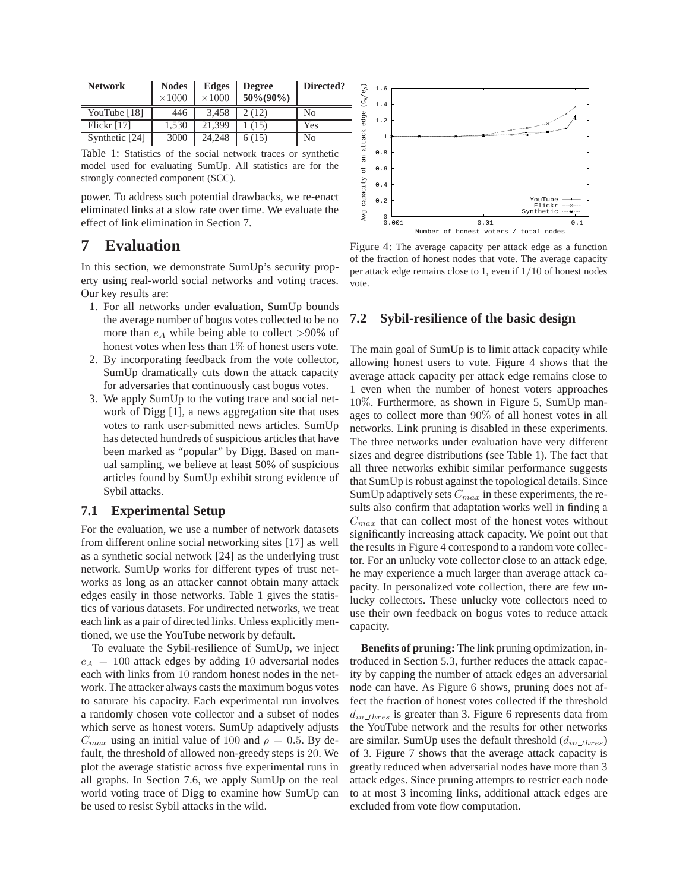| <b>Network</b> | <b>Nodes</b><br>$\times 1000$ | <b>Edges</b><br>$\times 1000$ | <b>Degree</b><br>$50\% (90\%)$ | Directed? |
|----------------|-------------------------------|-------------------------------|--------------------------------|-----------|
| YouTube [18]   | 446                           | 3.458                         | 2(12)                          | No        |
| Flickr $[17]$  | 1.530                         | 21.399                        | 1 (15)                         | Yes       |
| Synthetic [24] | 3000                          | 24.248                        | 6(15)                          | No        |

Table 1: Statistics of the social network traces or synthetic model used for evaluating SumUp. All statistics are for the strongly connected component (SCC).

power. To address such potential drawbacks, we re-enact eliminated links at a slow rate over time. We evaluate the effect of link elimination in Section 7.

# **7 Evaluation**

In this section, we demonstrate SumUp's security property using real-world social networks and voting traces. Our key results are:

- 1. For all networks under evaluation, SumUp bounds the average number of bogus votes collected to be no more than  $e_A$  while being able to collect >90% of honest votes when less than  $1\%$  of honest users vote.
- 2. By incorporating feedback from the vote collector, SumUp dramatically cuts down the attack capacity for adversaries that continuously cast bogus votes.
- 3. We apply SumUp to the voting trace and social network of Digg [1], a news aggregation site that uses votes to rank user-submitted news articles. SumUp has detected hundreds of suspicious articles that have been marked as "popular" by Digg. Based on manual sampling, we believe at least 50% of suspicious articles found by SumUp exhibit strong evidence of Sybil attacks.

#### **7.1 Experimental Setup**

For the evaluation, we use a number of network datasets from different online social networking sites [17] as well as a synthetic social network [24] as the underlying trust network. SumUp works for different types of trust networks as long as an attacker cannot obtain many attack edges easily in those networks. Table 1 gives the statistics of various datasets. For undirected networks, we treat each link as a pair of directed links. Unless explicitly mentioned, we use the YouTube network by default.

To evaluate the Sybil-resilience of SumUp, we inject  $e_A = 100$  attack edges by adding 10 adversarial nodes each with links from 10 random honest nodes in the network. The attacker always casts the maximum bogus votes to saturate his capacity. Each experimental run involves a randomly chosen vote collector and a subset of nodes which serve as honest voters. SumUp adaptively adjusts  $C_{max}$  using an initial value of 100 and  $\rho = 0.5$ . By default, the threshold of allowed non-greedy steps is 20. We plot the average statistic across five experimental runs in all graphs. In Section 7.6, we apply SumUp on the real world voting trace of Digg to examine how SumUp can be used to resist Sybil attacks in the wild.



Figure 4: The average capacity per attack edge as a function of the fraction of honest nodes that vote. The average capacity per attack edge remains close to 1, even if 1/10 of honest nodes vote.

#### **7.2 Sybil-resilience of the basic design**

The main goal of SumUp is to limit attack capacity while allowing honest users to vote. Figure 4 shows that the average attack capacity per attack edge remains close to 1 even when the number of honest voters approaches 10%. Furthermore, as shown in Figure 5, SumUp manages to collect more than 90% of all honest votes in all networks. Link pruning is disabled in these experiments. The three networks under evaluation have very different sizes and degree distributions (see Table 1). The fact that all three networks exhibit similar performance suggests that SumUp is robust against the topological details. Since SumUp adaptively sets  $C_{max}$  in these experiments, the results also confirm that adaptation works well in finding a  $C_{max}$  that can collect most of the honest votes without significantly increasing attack capacity. We point out that the results in Figure 4 correspond to a random vote collector. For an unlucky vote collector close to an attack edge, he may experience a much larger than average attack capacity. In personalized vote collection, there are few unlucky collectors. These unlucky vote collectors need to use their own feedback on bogus votes to reduce attack capacity.

**Benefits of pruning:** The link pruning optimization, introduced in Section 5.3, further reduces the attack capacity by capping the number of attack edges an adversarial node can have. As Figure 6 shows, pruning does not affect the fraction of honest votes collected if the threshold  $d_{in\_thres}$  is greater than 3. Figure 6 represents data from the YouTube network and the results for other networks are similar. SumUp uses the default threshold  $(d_{in\_thres})$ of 3. Figure 7 shows that the average attack capacity is greatly reduced when adversarial nodes have more than 3 attack edges. Since pruning attempts to restrict each node to at most 3 incoming links, additional attack edges are excluded from vote flow computation.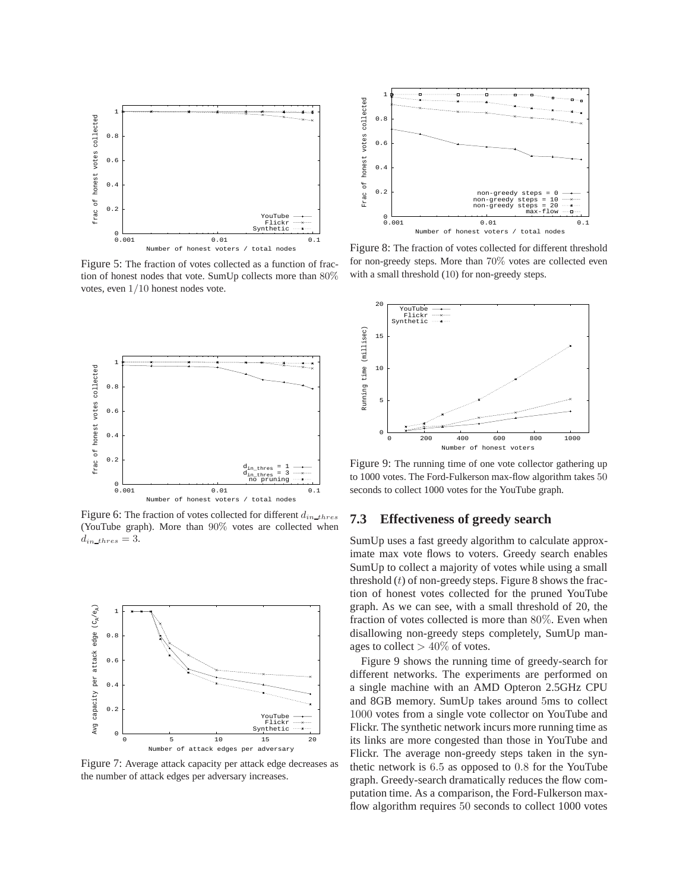

Figure 5: The fraction of votes collected as a function of fraction of honest nodes that vote. SumUp collects more than 80% votes, even 1/10 honest nodes vote.



Figure 6: The fraction of votes collected for different  $d_{in\_thres}$ (YouTube graph). More than 90% votes are collected when  $d_{in\_thres} = 3.$ 



Figure 7: Average attack capacity per attack edge decreases as the number of attack edges per adversary increases.



Figure 8: The fraction of votes collected for different threshold for non-greedy steps. More than 70% votes are collected even with a small threshold (10) for non-greedy steps.



Figure 9: The running time of one vote collector gathering up to 1000 votes. The Ford-Fulkerson max-flow algorithm takes 50 seconds to collect 1000 votes for the YouTube graph.

### **7.3 Effectiveness of greedy search**

SumUp uses a fast greedy algorithm to calculate approximate max vote flows to voters. Greedy search enables SumUp to collect a majority of votes while using a small threshold  $(t)$  of non-greedy steps. Figure 8 shows the fraction of honest votes collected for the pruned YouTube graph. As we can see, with a small threshold of 20, the fraction of votes collected is more than 80%. Even when disallowing non-greedy steps completely, SumUp manages to collect  $> 40\%$  of votes.

Figure 9 shows the running time of greedy-search for different networks. The experiments are performed on a single machine with an AMD Opteron 2.5GHz CPU and 8GB memory. SumUp takes around 5ms to collect 1000 votes from a single vote collector on YouTube and Flickr. The synthetic network incurs more running time as its links are more congested than those in YouTube and Flickr. The average non-greedy steps taken in the synthetic network is 6.5 as opposed to 0.8 for the YouTube graph. Greedy-search dramatically reduces the flow computation time. As a comparison, the Ford-Fulkerson maxflow algorithm requires 50 seconds to collect 1000 votes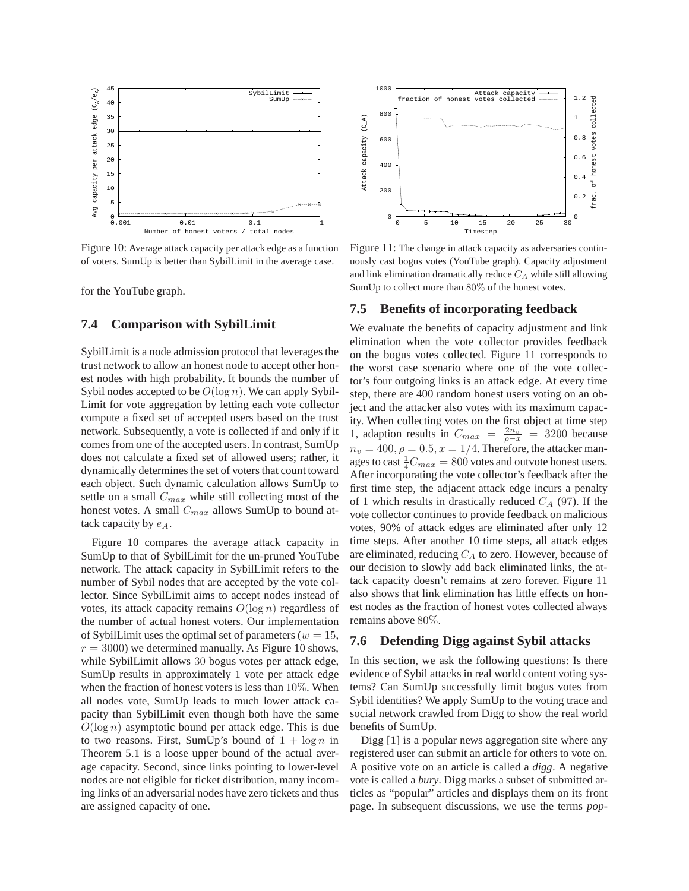

Figure 10: Average attack capacity per attack edge as a function of voters. SumUp is better than SybilLimit in the average case.

for the YouTube graph.

#### **7.4 Comparison with SybilLimit**

SybilLimit is a node admission protocol that leverages the trust network to allow an honest node to accept other honest nodes with high probability. It bounds the number of Sybil nodes accepted to be  $O(\log n)$ . We can apply Sybil-Limit for vote aggregation by letting each vote collector compute a fixed set of accepted users based on the trust network. Subsequently, a vote is collected if and only if it comes from one of the accepted users. In contrast, SumUp does not calculate a fixed set of allowed users; rather, it dynamically determines the set of voters that count toward each object. Such dynamic calculation allows SumUp to settle on a small  $C_{max}$  while still collecting most of the honest votes. A small  $C_{max}$  allows SumUp to bound attack capacity by  $e_A$ .

Figure 10 compares the average attack capacity in SumUp to that of SybilLimit for the un-pruned YouTube network. The attack capacity in SybilLimit refers to the number of Sybil nodes that are accepted by the vote collector. Since SybilLimit aims to accept nodes instead of votes, its attack capacity remains  $O(\log n)$  regardless of the number of actual honest voters. Our implementation of SybilLimit uses the optimal set of parameters ( $w = 15$ ,  $r = 3000$ ) we determined manually. As Figure 10 shows, while SybilLimit allows 30 bogus votes per attack edge, SumUp results in approximately 1 vote per attack edge when the fraction of honest voters is less than 10%. When all nodes vote, SumUp leads to much lower attack capacity than SybilLimit even though both have the same  $O(\log n)$  asymptotic bound per attack edge. This is due to two reasons. First, SumUp's bound of  $1 + \log n$  in Theorem 5.1 is a loose upper bound of the actual average capacity. Second, since links pointing to lower-level nodes are not eligible for ticket distribution, many incoming links of an adversarial nodes have zero tickets and thus are assigned capacity of one.



Figure 11: The change in attack capacity as adversaries continuously cast bogus votes (YouTube graph). Capacity adjustment and link elimination dramatically reduce  $C_A$  while still allowing SumUp to collect more than 80% of the honest votes.

#### **7.5 Benefits of incorporating feedback**

We evaluate the benefits of capacity adjustment and link elimination when the vote collector provides feedback on the bogus votes collected. Figure 11 corresponds to the worst case scenario where one of the vote collector's four outgoing links is an attack edge. At every time step, there are 400 random honest users voting on an object and the attacker also votes with its maximum capacity. When collecting votes on the first object at time step 1, adaption results in  $C_{max} = \frac{2n_v}{\rho - x} = 3200$  because  $n_v = 400, \rho = 0.5, x = 1/4$ . Therefore, the attacker manages to cast  $\frac{1}{4}C_{max} = 800$  votes and outvote honest users. After incorporating the vote collector's feedback after the first time step, the adjacent attack edge incurs a penalty of 1 which results in drastically reduced  $C_A$  (97). If the vote collector continues to provide feedback on malicious votes, 90% of attack edges are eliminated after only 12 time steps. After another 10 time steps, all attack edges are eliminated, reducing  $C_A$  to zero. However, because of our decision to slowly add back eliminated links, the attack capacity doesn't remains at zero forever. Figure 11 also shows that link elimination has little effects on honest nodes as the fraction of honest votes collected always remains above 80%.

#### **7.6 Defending Digg against Sybil attacks**

In this section, we ask the following questions: Is there evidence of Sybil attacks in real world content voting systems? Can SumUp successfully limit bogus votes from Sybil identities? We apply SumUp to the voting trace and social network crawled from Digg to show the real world benefits of SumUp.

Digg [1] is a popular news aggregation site where any registered user can submit an article for others to vote on. A positive vote on an article is called a *digg*. A negative vote is called a *bury*. Digg marks a subset of submitted articles as "popular" articles and displays them on its front page. In subsequent discussions, we use the terms *pop-*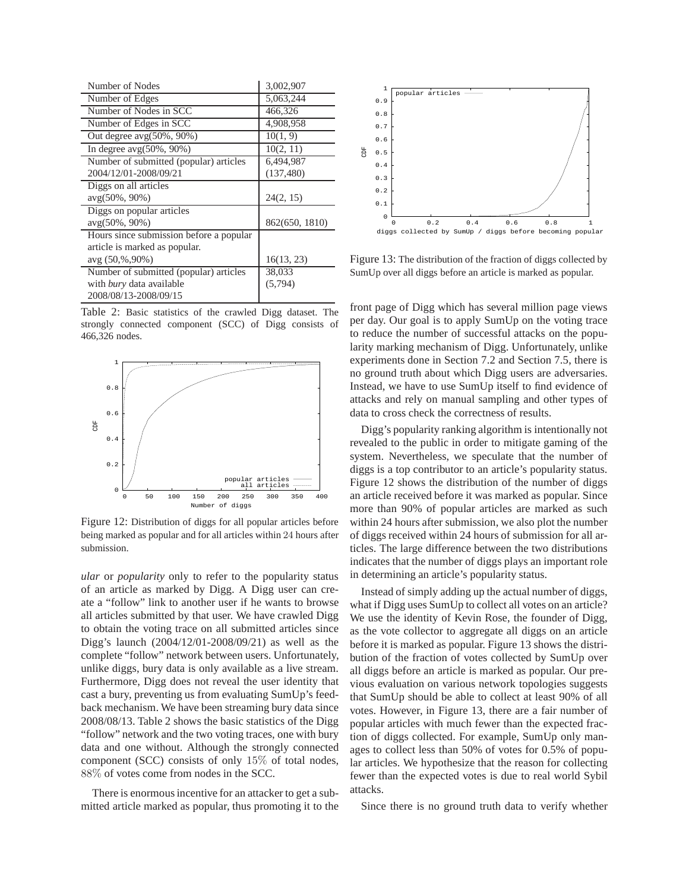| Number of Nodes                         | 3,002,907      |  |  |
|-----------------------------------------|----------------|--|--|
| Number of Edges                         | 5,063,244      |  |  |
| Number of Nodes in SCC                  | 466,326        |  |  |
| Number of Edges in SCC                  | 4,908,958      |  |  |
| Out degree $avg(50\%, 90\%)$            | 10(1, 9)       |  |  |
| In degree $avg(50\%, 90\%)$             | 10(2, 11)      |  |  |
| Number of submitted (popular) articles  | 6,494,987      |  |  |
| 2004/12/01-2008/09/21                   | (137, 480)     |  |  |
| Diggs on all articles                   |                |  |  |
|                                         |                |  |  |
| $avg(50\%, 90\%)$                       | 24(2, 15)      |  |  |
| Diggs on popular articles               |                |  |  |
| $avg(50\%, 90\%)$                       | 862(650, 1810) |  |  |
| Hours since submission before a popular |                |  |  |
| article is marked as popular.           |                |  |  |
| $avg(50,\%90\%)$                        | 16(13, 23)     |  |  |
| Number of submitted (popular) articles  | 38,033         |  |  |
| with bury data available                | (5, 794)       |  |  |

Table 2: Basic statistics of the crawled Digg dataset. The strongly connected component (SCC) of Digg consists of 466,326 nodes.



Figure 12: Distribution of diggs for all popular articles before being marked as popular and for all articles within 24 hours after submission.

*ular* or *popularity* only to refer to the popularity status of an article as marked by Digg. A Digg user can create a "follow" link to another user if he wants to browse all articles submitted by that user. We have crawled Digg to obtain the voting trace on all submitted articles since Digg's launch (2004/12/01-2008/09/21) as well as the complete "follow" network between users. Unfortunately, unlike diggs, bury data is only available as a live stream. Furthermore, Digg does not reveal the user identity that cast a bury, preventing us from evaluating SumUp's feedback mechanism. We have been streaming bury data since 2008/08/13. Table 2 shows the basic statistics of the Digg "follow" network and the two voting traces, one with bury data and one without. Although the strongly connected component (SCC) consists of only 15% of total nodes, 88% of votes come from nodes in the SCC.

There is enormous incentive for an attacker to get a submitted article marked as popular, thus promoting it to the



Figure 13: The distribution of the fraction of diggs collected by SumUp over all diggs before an article is marked as popular.

front page of Digg which has several million page views per day. Our goal is to apply SumUp on the voting trace to reduce the number of successful attacks on the popularity marking mechanism of Digg. Unfortunately, unlike experiments done in Section 7.2 and Section 7.5, there is no ground truth about which Digg users are adversaries. Instead, we have to use SumUp itself to find evidence of attacks and rely on manual sampling and other types of data to cross check the correctness of results.

Digg's popularity ranking algorithm is intentionally not revealed to the public in order to mitigate gaming of the system. Nevertheless, we speculate that the number of diggs is a top contributor to an article's popularity status. Figure 12 shows the distribution of the number of diggs an article received before it was marked as popular. Since more than 90% of popular articles are marked as such within 24 hours after submission, we also plot the number of diggs received within 24 hours of submission for all articles. The large difference between the two distributions indicates that the number of diggs plays an important role in determining an article's popularity status.

Instead of simply adding up the actual number of diggs, what if Digg uses SumUp to collect all votes on an article? We use the identity of Kevin Rose, the founder of Digg, as the vote collector to aggregate all diggs on an article before it is marked as popular. Figure 13 shows the distribution of the fraction of votes collected by SumUp over all diggs before an article is marked as popular. Our previous evaluation on various network topologies suggests that SumUp should be able to collect at least 90% of all votes. However, in Figure 13, there are a fair number of popular articles with much fewer than the expected fraction of diggs collected. For example, SumUp only manages to collect less than 50% of votes for 0.5% of popular articles. We hypothesize that the reason for collecting fewer than the expected votes is due to real world Sybil attacks.

Since there is no ground truth data to verify whether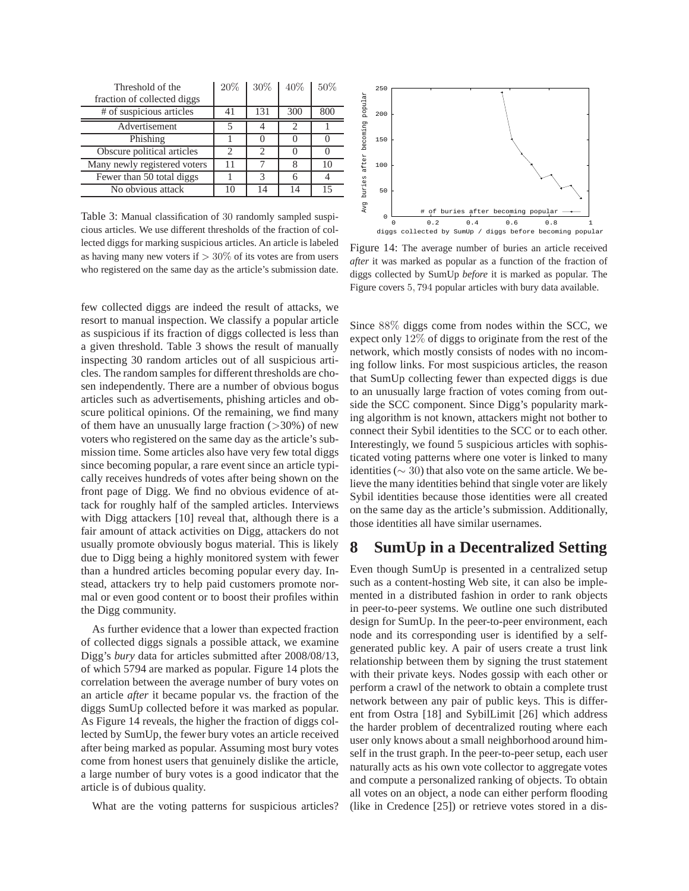| Threshold of the<br>fraction of collected diggs | 20% | 30% | 40% | 50% |
|-------------------------------------------------|-----|-----|-----|-----|
| # of suspicious articles                        | 41  | 131 | 300 | 800 |
| Advertisement                                   |     |     | 2   |     |
| Phishing                                        |     |     |     |     |
| Obscure political articles                      | 2   |     |     |     |
| Many newly registered voters                    | 11  |     |     | 10  |
| Fewer than 50 total diggs                       |     |     |     |     |
| No obvious attack                               |     |     |     | 15  |

Table 3: Manual classification of 30 randomly sampled suspicious articles. We use different thresholds of the fraction of collected diggs for marking suspicious articles. An article is labeled as having many new voters if  $> 30\%$  of its votes are from users who registered on the same day as the article's submission date.

few collected diggs are indeed the result of attacks, we resort to manual inspection. We classify a popular article as suspicious if its fraction of diggs collected is less than a given threshold. Table 3 shows the result of manually inspecting 30 random articles out of all suspicious articles. The random samples for different thresholds are chosen independently. There are a number of obvious bogus articles such as advertisements, phishing articles and obscure political opinions. Of the remaining, we find many of them have an unusually large fraction  $(>\,30\%)$  of new voters who registered on the same day as the article's submission time. Some articles also have very few total diggs since becoming popular, a rare event since an article typically receives hundreds of votes after being shown on the front page of Digg. We find no obvious evidence of attack for roughly half of the sampled articles. Interviews with Digg attackers [10] reveal that, although there is a fair amount of attack activities on Digg, attackers do not usually promote obviously bogus material. This is likely due to Digg being a highly monitored system with fewer than a hundred articles becoming popular every day. Instead, attackers try to help paid customers promote normal or even good content or to boost their profiles within the Digg community.

As further evidence that a lower than expected fraction of collected diggs signals a possible attack, we examine Digg's *bury* data for articles submitted after 2008/08/13, of which 5794 are marked as popular. Figure 14 plots the correlation between the average number of bury votes on an article *after* it became popular vs. the fraction of the diggs SumUp collected before it was marked as popular. As Figure 14 reveals, the higher the fraction of diggs collected by SumUp, the fewer bury votes an article received after being marked as popular. Assuming most bury votes come from honest users that genuinely dislike the article, a large number of bury votes is a good indicator that the article is of dubious quality.

What are the voting patterns for suspicious articles?



Figure 14: The average number of buries an article received *after* it was marked as popular as a function of the fraction of diggs collected by SumUp *before* it is marked as popular. The Figure covers 5, 794 popular articles with bury data available.

Since 88% diggs come from nodes within the SCC, we expect only 12% of diggs to originate from the rest of the network, which mostly consists of nodes with no incoming follow links. For most suspicious articles, the reason that SumUp collecting fewer than expected diggs is due to an unusually large fraction of votes coming from outside the SCC component. Since Digg's popularity marking algorithm is not known, attackers might not bother to connect their Sybil identities to the SCC or to each other. Interestingly, we found 5 suspicious articles with sophisticated voting patterns where one voter is linked to many identities ( $\sim$  30) that also vote on the same article. We believe the many identities behind that single voter are likely Sybil identities because those identities were all created on the same day as the article's submission. Additionally, those identities all have similar usernames.

# **8 SumUp in a Decentralized Setting**

Even though SumUp is presented in a centralized setup such as a content-hosting Web site, it can also be implemented in a distributed fashion in order to rank objects in peer-to-peer systems. We outline one such distributed design for SumUp. In the peer-to-peer environment, each node and its corresponding user is identified by a selfgenerated public key. A pair of users create a trust link relationship between them by signing the trust statement with their private keys. Nodes gossip with each other or perform a crawl of the network to obtain a complete trust network between any pair of public keys. This is different from Ostra [18] and SybilLimit [26] which address the harder problem of decentralized routing where each user only knows about a small neighborhood around himself in the trust graph. In the peer-to-peer setup, each user naturally acts as his own vote collector to aggregate votes and compute a personalized ranking of objects. To obtain all votes on an object, a node can either perform flooding (like in Credence [25]) or retrieve votes stored in a dis